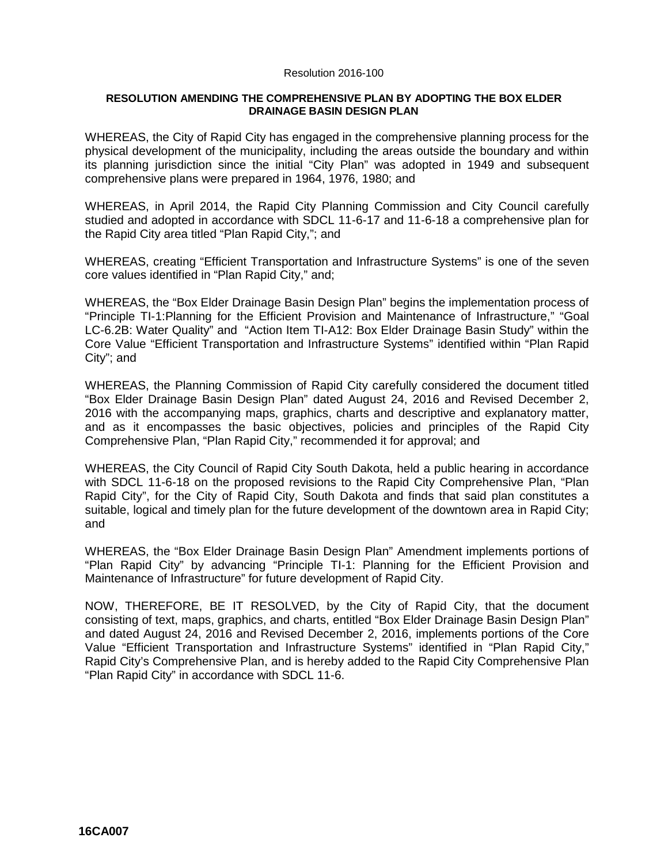## Resolution 2016-100

## **RESOLUTION AMENDING THE COMPREHENSIVE PLAN BY ADOPTING THE BOX ELDER DRAINAGE BASIN DESIGN PLAN**

WHEREAS, the City of Rapid City has engaged in the comprehensive planning process for the physical development of the municipality, including the areas outside the boundary and within its planning jurisdiction since the initial "City Plan" was adopted in 1949 and subsequent comprehensive plans were prepared in 1964, 1976, 1980; and

WHEREAS, in April 2014, the Rapid City Planning Commission and City Council carefully studied and adopted in accordance with SDCL 11-6-17 and 11-6-18 a comprehensive plan for the Rapid City area titled "Plan Rapid City,"; and

WHEREAS, creating "Efficient Transportation and Infrastructure Systems" is one of the seven core values identified in "Plan Rapid City," and;

WHEREAS, the "Box Elder Drainage Basin Design Plan" begins the implementation process of "Principle TI-1:Planning for the Efficient Provision and Maintenance of Infrastructure," "Goal LC-6.2B: Water Quality" and "Action Item TI-A12: Box Elder Drainage Basin Study" within the Core Value "Efficient Transportation and Infrastructure Systems" identified within "Plan Rapid City"; and

WHEREAS, the Planning Commission of Rapid City carefully considered the document titled "Box Elder Drainage Basin Design Plan" dated August 24, 2016 and Revised December 2, 2016 with the accompanying maps, graphics, charts and descriptive and explanatory matter, and as it encompasses the basic objectives, policies and principles of the Rapid City Comprehensive Plan, "Plan Rapid City," recommended it for approval; and

WHEREAS, the City Council of Rapid City South Dakota, held a public hearing in accordance with SDCL 11-6-18 on the proposed revisions to the Rapid City Comprehensive Plan, "Plan Rapid City", for the City of Rapid City, South Dakota and finds that said plan constitutes a suitable, logical and timely plan for the future development of the downtown area in Rapid City; and

WHEREAS, the "Box Elder Drainage Basin Design Plan" Amendment implements portions of "Plan Rapid City" by advancing "Principle TI-1: Planning for the Efficient Provision and Maintenance of Infrastructure" for future development of Rapid City.

NOW, THEREFORE, BE IT RESOLVED, by the City of Rapid City, that the document consisting of text, maps, graphics, and charts, entitled "Box Elder Drainage Basin Design Plan" and dated August 24, 2016 and Revised December 2, 2016, implements portions of the Core Value "Efficient Transportation and Infrastructure Systems" identified in "Plan Rapid City," Rapid City's Comprehensive Plan, and is hereby added to the Rapid City Comprehensive Plan "Plan Rapid City" in accordance with SDCL 11-6.